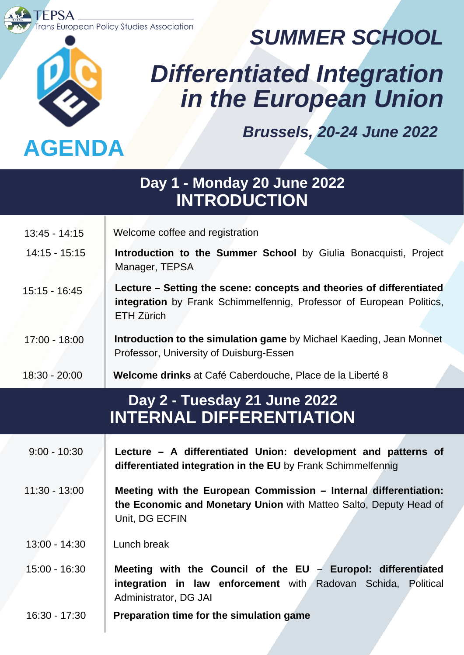s European Policy Studies Association



**FPSA** 

*SUMMER SCHOOL*

# *Differentiated Integration in the European Union*

*Brussels, 20-24 June 2022*

### **Day 2 - Tuesday 21 June 2022 INTERNAL DIFFERENTIATION Day 1 - Monday 20 June 2022 INTRODUCTION** 14:15 - 15:15 15:15 - 16:45 17:00 - 18:00 18:30 - 20:00 **Introduction to the Summer School** by Giulia Bonacquisti, Project Manager, TEPSA **Lecture – Setting the scene: concepts and theories of differentiated integration** by Frank Schimmelfennig, Professor of European Politics, ETH Zürich **Introduction to the simulation game** by Michael Kaeding, Jean Monnet Professor, University of Duisburg-Essen **Welcome drinks** at Café Caberdouche, Place de la Liberté 8 9:00 - 10:30 **Lecture – A differentiated Union: development and patterns of differentiated integration in the EU** by Frank Schimmelfennig 11:30 - 13:00 **Meeting with the European Commission – Internal differentiation: the Economic and Monetary Union** with Matteo Salto, Deputy Head of Unit, DG ECFIN 15:00 - 16:30 **Meeting with the Council of the EU – Europol: differentiated integration in law enforcement** with Radovan Schida, Political  $13:00 - 14:30$  Lunch break 13:45 - 14:15 Welcome coffee and registration

16:30 - 17:30 **Preparation time for the simulation game**

Administrator, DG JAI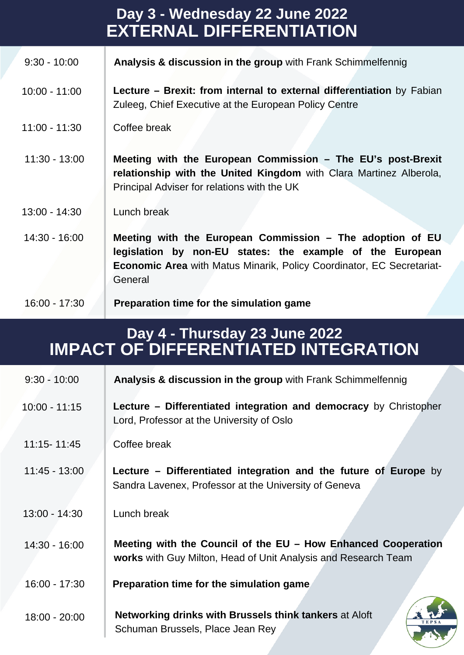| Day 3 - Wednesday 22 June 2022<br><b>EXTERNAL DIFFERENTIATION</b> |                                                                                                                                                                                                                   |  |
|-------------------------------------------------------------------|-------------------------------------------------------------------------------------------------------------------------------------------------------------------------------------------------------------------|--|
| $9:30 - 10:00$                                                    | Analysis & discussion in the group with Frank Schimmelfennig                                                                                                                                                      |  |
| $10:00 - 11:00$                                                   | Lecture – Brexit: from internal to external differentiation by Fabian<br>Zuleeg, Chief Executive at the European Policy Centre                                                                                    |  |
| $11:00 - 11:30$                                                   | Coffee break                                                                                                                                                                                                      |  |
| $11:30 - 13:00$                                                   | Meeting with the European Commission - The EU's post-Brexit<br>relationship with the United Kingdom with Clara Martinez Alberola,<br>Principal Adviser for relations with the UK                                  |  |
| $13:00 - 14:30$                                                   | Lunch break                                                                                                                                                                                                       |  |
| $14:30 - 16:00$                                                   | Meeting with the European Commission - The adoption of EU<br>legislation by non-EU states: the example of the European<br><b>Economic Area</b> with Matus Minarik, Policy Coordinator, EC Secretariat-<br>General |  |
| $16:00 - 17:30$                                                   | Preparation time for the simulation game                                                                                                                                                                          |  |

## **Day 4 - Thursday 23 June 2022 IMPACT OF DIFFERENTIATED INTEGRATION**

| $9:30 - 10:00$  | Analysis & discussion in the group with Frank Schimmelfennig                                                                     |
|-----------------|----------------------------------------------------------------------------------------------------------------------------------|
| $10:00 - 11:15$ | Lecture – Differentiated integration and democracy by Christopher<br>Lord, Professor at the University of Oslo                   |
| 11:15-11:45     | Coffee break                                                                                                                     |
| $11:45 - 13:00$ | <b>Lecture - Differentiated integration and the future of Europe</b> by<br>Sandra Lavenex, Professor at the University of Geneva |
| $13:00 - 14:30$ | Lunch break                                                                                                                      |
| $14:30 - 16:00$ | Meeting with the Council of the EU - How Enhanced Cooperation<br>works with Guy Milton, Head of Unit Analysis and Research Team  |
| $16:00 - 17:30$ | Preparation time for the simulation game                                                                                         |
| $18:00 - 20:00$ | Networking drinks with Brussels think tankers at Aloft<br><b>TEPSA</b><br>Schuman Brussels, Place Jean Rey                       |